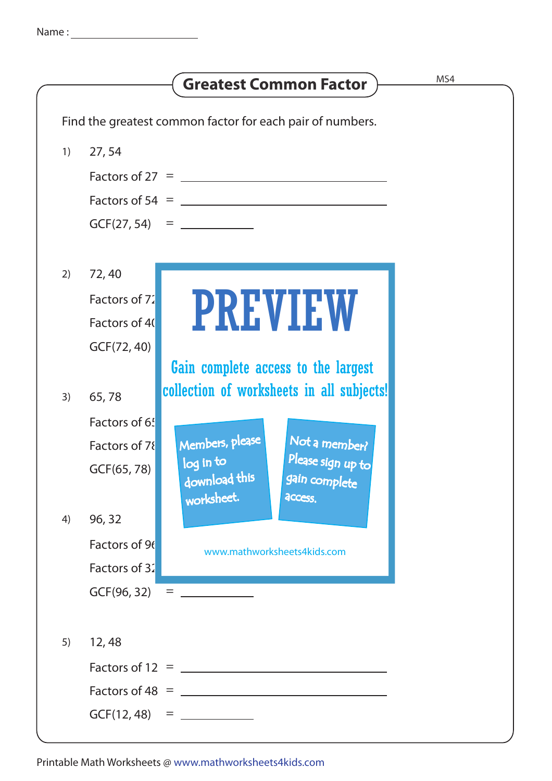